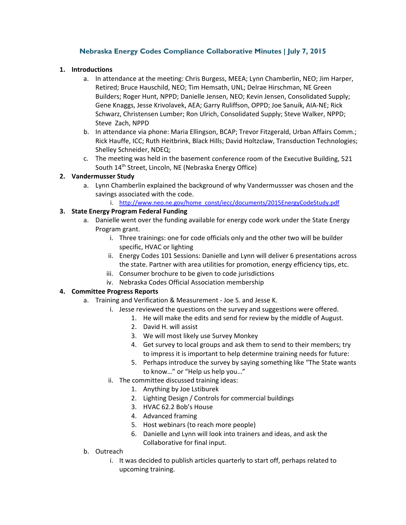# **Nebraska Energy Codes Compliance Collaborative Minutes | July 7, 2015**

#### **1. Introductions**

- a. In attendance at the meeting: Chris Burgess, MEEA; Lynn Chamberlin, NEO; Jim Harper, Retired; Bruce Hauschild, NEO; Tim Hemsath, UNL; Delrae Hirschman, NE Green Builders; Roger Hunt, NPPD; Danielle Jensen, NEO; Kevin Jensen, Consolidated Supply; Gene Knaggs, Jesse Krivolavek, AEA; Garry Ruliffson, OPPD; Joe Sanuik, AIA‐NE; Rick Schwarz, Christensen Lumber; Ron Ulrich, Consolidated Supply; Steve Walker, NPPD; Steve Zach, NPPD
- b. In attendance via phone: Maria Ellingson, BCAP; Trevor Fitzgerald, Urban Affairs Comm.; Rick Hauffe, ICC; Ruth Heitbrink, Black Hills; David Holtzclaw, Transduction Technologies; Shelley Schneider, NDEQ;
- c. The meeting was held in the basement conference room of the Executive Building, 521 South 14th Street, Lincoln, NE (Nebraska Energy Office)

#### **2. Vandermusser Study**

- a. Lynn Chamberlin explained the background of why Vandermussser was chosen and the savings associated with the code.
	- i. http://www.neo.ne.gov/home\_const/iecc/documents/2015EnergyCodeStudy.pdf

## **3. State Energy Program Federal Funding**

- a. Danielle went over the funding available for energy code work under the State Energy Program grant.
	- i. Three trainings: one for code officials only and the other two will be builder specific, HVAC or lighting
	- ii. Energy Codes 101 Sessions: Danielle and Lynn will deliver 6 presentations across the state. Partner with area utilities for promotion, energy efficiency tips, etc.
	- iii. Consumer brochure to be given to code jurisdictions
	- iv. Nebraska Codes Official Association membership

#### **4. Committee Progress Reports**

- a. Training and Verification & Measurement ‐ Joe S. and Jesse K.
	- i. Jesse reviewed the questions on the survey and suggestions were offered.
		- 1. He will make the edits and send for review by the middle of August.
		- 2. David H. will assist
		- 3. We will most likely use Survey Monkey
		- 4. Get survey to local groups and ask them to send to their members; try to impress it is important to help determine training needs for future:
		- 5. Perhaps introduce the survey by saying something like "The State wants to know…" or "Help us help you…"
	- ii. The committee discussed training ideas:
		- 1. Anything by Joe Lstiburek
		- 2. Lighting Design / Controls for commercial buildings
		- 3. HVAC 62.2 Bob's House
		- 4. Advanced framing
		- 5. Host webinars (to reach more people)
		- 6. Danielle and Lynn will look into trainers and ideas, and ask the Collaborative for final input.
- b. Outreach
	- i. It was decided to publish articles quarterly to start off, perhaps related to upcoming training.